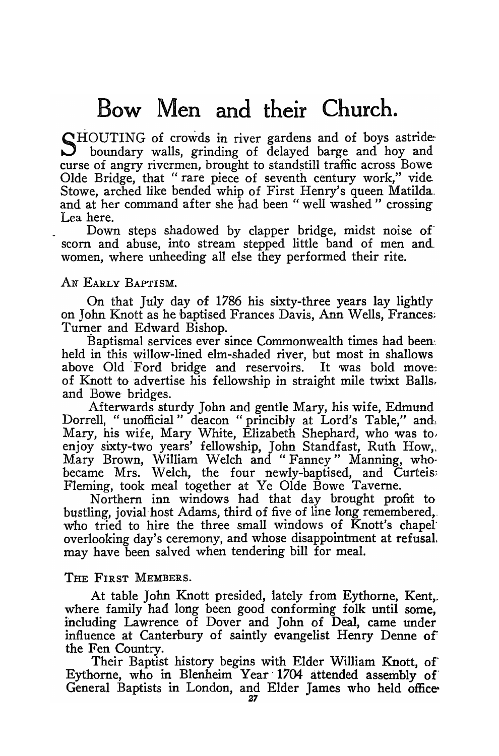# Bow Men and their Church.

CHOUTING of crowds in river gardens and of boys astride- $\Box$  boundary walls, grinding of delayed barge and hoy and curse of angry rivermen, brought to standstill traffic across Bowe Olde Bridge, that "rare piece of seventh century work," vide Stowe, arched like bended whip of First Henry's queen Matilda. and at her command after she had been "well washed" crossing Lea here.

Down steps shadowed by clapper bridge, midst noise of scorn and abuse, into stream stepped little band of men and women, where unheeding all else they performed their rite.

#### AN EARLY BAPTISM.

On that July day of 1786 his sixty-three years lay lightly on John Knott as he baptised Frances Davis, Ann Wells, Frances. Turner and Edward Bishop.

Baptismal services ever since Commonwealth times had been: held in this willow-lined elm-shaded river, but most in shallows above Old Ford bridge and reservoirs. It was bold move: of Knott to advertise his fellowship in straight mile twixt Balls. and Bowe bridges.

Afterwards sturdy John and gentle Mary, his wife, Edmund Dorrell, "unofficial" deacon "princibly at Lord's Table," and, Mary, his wife, Mary White, Elizabeth Shephard, who was to, enjoy sixty-two years' fellowship, John Standfast, Ruth How,. Mary Brown, WilIiam Welch and "Fanney" Manning, who, became Mrs. Welch, the four newly-baptised, and Curteis: Fleming, took meal together at Ye Olde Bowe Taveme.

Northern inn windows had that day brought profit to bustling, jovial host Adams, third of five of line long remembered, who tried to hire the three small windows of Knott's chapel' overlooking day's ceremony, and whose disappointment at refusal. may have been salved when tendering bill for meal.

#### THE FIRST MEMBERS.

At table John Knott presided, lately from Eythorne, Kent,. where family had long been good conforming folk until some, including Lawrence of Dover and John of Deal, came under influence at Canterbury of saintly evangelist Henry Denne of the Fen Country.

Their Baptist history begins with Elder William Knott, of Eythorne, who in Blenheim Year 1704 attended assembly of General Baptists in London, and Elder James who held office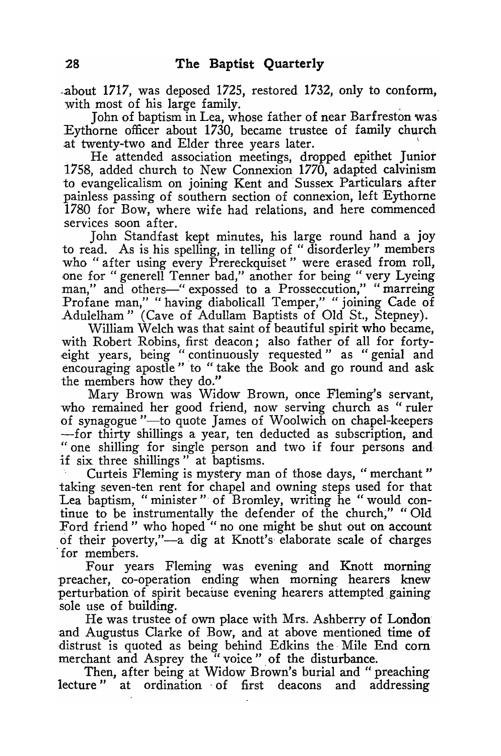about 1717, was deposed 1725, restored 1732, only to conform,

with most of his large family.<br>John of baptism in Lea, whose father of near Barfreston was Eythorne officer about  $1730$ , became trustee of family church at twenty-two and Elder three years later.

. He attended association meetings, dropped epithet Junior 1758, added church to New Connexion 1770, adapted calvinism to evangelicalism on joining Kent and Sussex Particulars after painless passing of southern section of connexion, left Eythorne 1780 for Bow, where wife had relations, and here commenced services soon after.

John Standfast kept minutes, his large round hand a joy to read. As is his spelling, in telling of " disorderley" members who "after using every Prereckquiset" were erased from roll, one for "generell Tenner bad," another for being " very Lyeing man," and others-" expossed to a Prosseccution," "marreing Profane man," "having diabolicall Temper," "joining Cade of Adulelham" (Cave of Adullam Baptists of Old St., Stepney).

William Welch was that saint of beautiful spirit who became, with Robert Robins, first deacon; also father of all for fortyeight years, being "continuously requested" as "genial and encouraging apostle" to "take the Book and go round and ask the members how they do."

Mary Brown was Widow Brown, once Fleming's servant, who remained her good friend, now serving church as "ruler of synagogue "-to quote James of Woolwich on chapel-keepers -for thirty shillings a year, ten deducted as subscription, and "one shilling for single person and two if four persons and if six three shillings" at baptisms.

Curteis Fleming is mystery man of those days, "merchant" taking seven-ten rent for chapel and owning steps used for that Lea baptism, "minister" of Bromley, writing he "would continue to be instrumentally the defender of the church;" "Old Ford friend" who hoped "no one might be shut out on account of their poverty,"-a dig at Knott's elaborate scale of charges for members.

Four years Fleming was evening and Knott morning preacher, co-operation ending when morning hearers knew perturbation of spirit because evening hearers attempted gaining sole use of building.

He was trustee of own place with Mrs. Ashberry of London and Augustus Clarke of Bow, and at above mentioned time of distrust is quoted as being behind Edkins the Mile End corn merchant and Asprey the "voice" of the disturbance.

Then, after being at Widow Brown's burial and "preaching lecture" at ordination' of first deacons and addressing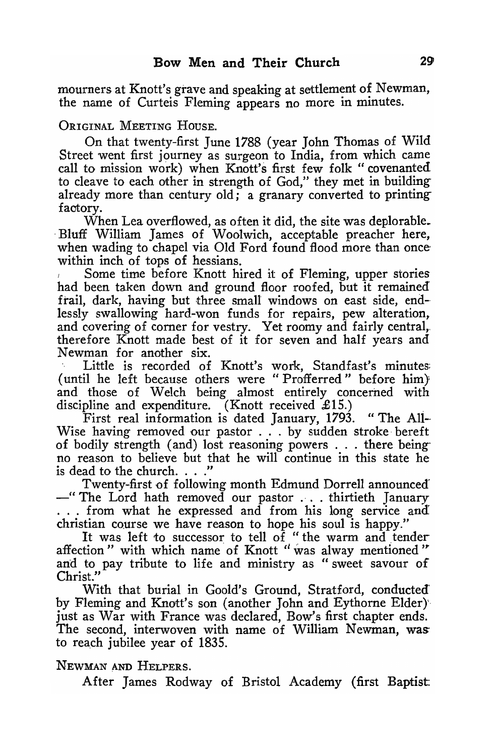mourners at Knott's grave and speaking at settlement of Newman, the name of Curteis Fleming appears no more in minutes.

## ORIGINAL MEETING HOUSE.

On that twenty-first June 1788 (year John Thomas of Wild Street went first journey as surgeon to India, from which came call to mission work) when Knott's first few folk" covenanted to cleave to each other in strength of God," they met in building already more than century old; a granary converted to printing factory.

When Lea overflowed, as often it did, the site was deplorable. <sup>~</sup>Bluff William James of Woolwich, acceptable preacher here, when wading to chapel via Old Ford found flood more than once within inch of tops of hessians.

Some time before Knott hired it of Fleming, upper stories had been taken down and ground floor roofed, but it remained frail, dark, having but three small windows on east side, endlessly swallowing hard-won funds for repairs, pew alteration, and covering of corner for vestry. Yet roomy and fairly central, therefore Knott made best of it for seven and half years and Newman for another six.

Little is recorded of Knott's work, Standfast's minutes: (until he left because others were" Profferred" before him) and those of Welch being almost entirely concerned with discipline and expenditure. (Knott received £15.)<br>First real information is dated January, 1793. "The All-

Wise having removed our pastor . . . by sudden stroke bereft of bodily strength (and) lost reasoning powers . . . there being· no reason to believe but that he will continue in this state he is dead to the church. . . ."

Twenty-first of following month Edmund Dorrell announced —"The Lord hath removed our pastor . . . thirtieth January . . . from what he expressed and from his long service and christian course we have reason to hope his soul is happy."

It was left to successor to tell of "the warm and tender affection" with which name of Knott "was alway mentioned" and to pay tribute to life and ministry as "sweet savour of Christ."

With that burial in Goold's Ground, Stratford, conducted' by Fleming and Knott's son (another John and Eythorne Elder). just as War with France was declared, Bow's first chapter ends. The second, interwoven with name of William Newman, was to reach jubilee year of 1835.

NEWMAN AND HELPERS.

After James Rodway of Bristol Academy (first Baptist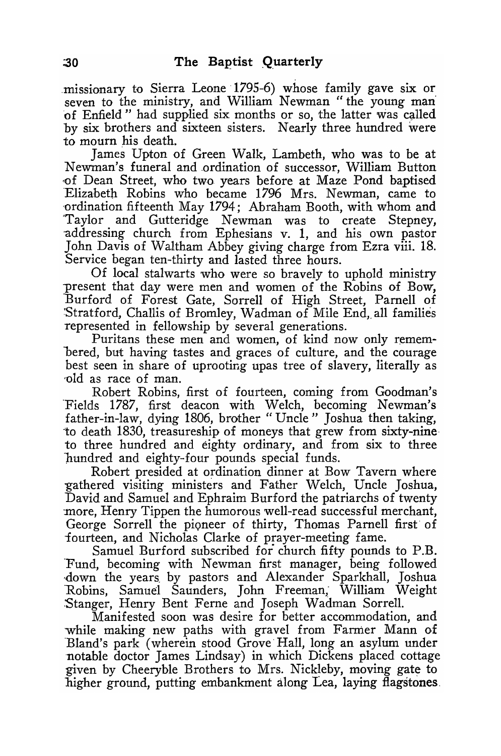,missionary to Sierra Leone 1795-6) whose family gave six or seven to the ministry, and William Newman "the young man of Enfield" had supplied six months or so, the latter was called by six brothers and sixteen sisters. Nearly three hundred were to mourn his death.

Tames Upton of Green Walk, Lambeth, who was to be at Newman's funeral and ordination of successor, William Button 'of Dean Street, who two years before at Maze Pond baptised Elizabeth Robins who became 1796 Mrs. Newman, came to 'ordination fifteenth May 1794; Abraham Booth, with whom and Taylor and Gutteridge Newman was to create Stepney, addressing church from Ephesians v. 1, and his own pastor John Davis of Waltham Abbey giving charge from Ezra viii. 18. Service began ten-thirty and lasted three hours.

Of local stalwarts who were so bravely to uphold ministry -present that day were men and women of the Robins of Bow, 'Burford of Forest Gate, Sorrell of High Street, Parnell of Stratford, Challis of Bromley, Wadman of Mile End, all families represented in fellowship by several generations.

Puritans these men and women, of kind now only remembered, but having tastes and graces of culture, and the courage best seen in share of uprooting upas tree of slavery, literally as 'old as race of man.

Robert Robins, first of fourteen, coming from Goodman's 'Fields 1787, first deacon with Welch, becoming Newman's father-in-law, dying 1806, brother "Uncle" Joshua then taking, to death 1830, treasureship of moneys that grew from sixty-nine to three hundred and eighty ordinary, and from six to three 'hundred and eighty-four pounds special funds.

Robert presided at ordination dinner at Bow Tavern where' -gathered visiting ministers and Father Welch, Uncle Joshua, David and Samuel and Ephraim Burford the patriarchs of twenty more, Henry Tippen the humorous well-read successful merchant, George Sorrell the pioneer of thirty, Thomas Parnell first of fourteen, and Nicholas Clarke of prayer-meeting fame.

Samuel Burford subscribed for church fifty pounds to P.B. 'Fund, becoming with Newman first manager, being followed down the years by pastors and Alexander Sparkhall, Joshua Robins, Samuel Saunders, John Freeman,' William Weight Stanger, Henry Bent Feme and Joseph Wadman Sorrel!.

Manifested soon was desire for better accommodation, and while making new paths with gravel from Farmer Mann of Bland's park (wherein stood Grove Hall, long an asylum under notable doctor James Lindsay) in which Dickens placed cottage given by Cheeryble Brothers to Mrs. Nickleby, moving gate to higher ground, putting embankment along Lea, laying flagstones.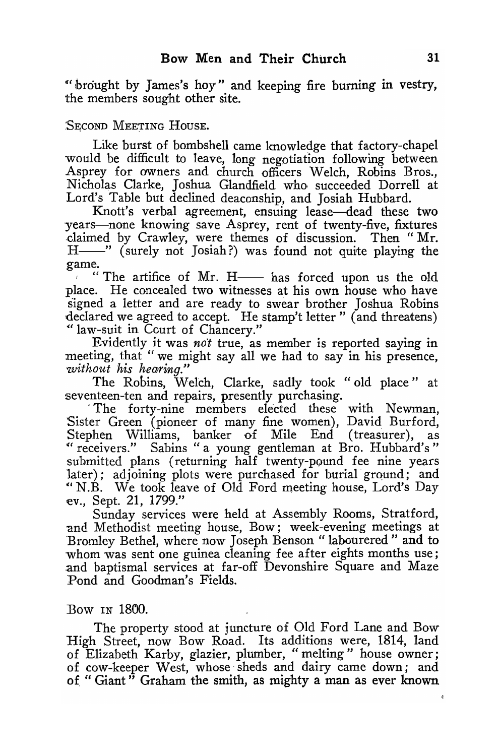"' hrought by James's hoy" and keeping fire burning in vestry, the members sought other site.

# SECOND MEETING HOUSE.

Like burst of bombshell came knowledge that factory-chapel would be difficult to leave, long negotiation following between Asprey for awners and church officers Welch, Robins Bros., Nicholas Clarke, Joshua Glandfield who succeeded Dorrell at Lord's Table but declined deaconship, and Josiah Hubbard.

Knott's verbal agreement, ensuing lease—dead these two years—none knowing save Asprey, rent of twenty-five, fixtures claimed by Crawley, were themes of discussion. Then" Mr. H-" (surely not Josiah?) was found not quite playing the game.

"The artifice of Mr. H- has forced upon us the old place. He concealed two witnesses at his own house who have signed a letter and are ready to swear brother Joshua Robins declared we agreed to accept. He stamp't letter" (and threatens) "law-suit in Court of Chancery."

Evidently it was *not* true, as member is reported saying in meeting, that "we might say all we had to say in his presence, *without his hearing."* 

The Robins, Welch, Clarke, sadly took "old place" at seventeen-ten and repairs, presently purchasing.

The forty-nine members elected these with Newman, Sister Green (pioneer of many fine women), David Burford, Stephen Williams, banker of Mile End (treasurer), as " receivers." Sabins " a young gentleman at Bro. Hubbard's" submitted plans (returning half twenty-pound fee nine years later); adjoining plots were purchased for burial ground; and «N.B. We took leave of Old Ford meeting house, Lord's Day ev., Sept. 21, 1799."

Sunday services were held at Assembly Rooms, Stratford, and Methodist meeting house, Bow; week-evening meetings at Bromley Bethel, where now Joseph Benson "labourered" and to whom was sent one guinea cleaning fee after eights months use; and baptismal services at far-off Devonshire Square and Maze Pond and Goodman's Fields.

Bow IN 1800.

The property stood at juncture of Old Ford Lane and Bow High Street, now Bow Road. Its additions were, 1814, land of Elizabeth Karby, glazier, plumber, "melting" house owner; of cow-keeper West, whose sheds and dairy came down; and of "Giant" Graham the smith, as mighty a man as ever known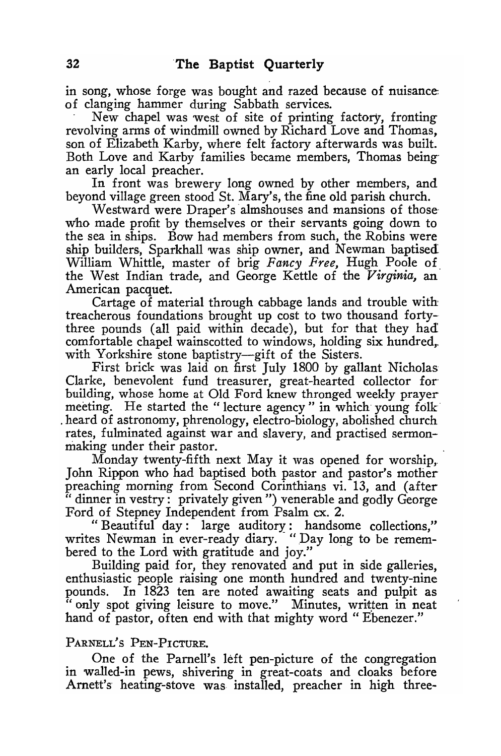in song, whose forge was bought and razed because of nuisance of clanging hammer during Sabbath services.

New chapel was west of site of printing factory, fronting revolving arms of windmill owned by Richard Love and Thomas, son of Elizabeth Karby, where felt factory afterwards was built. Both Love and Karby families became members, Thomas beingan early local preacher.

In front was brewery long owned by other members, and beyond village green stood St. Mary's, the fine old parish church.

Westward were Draper's almshouses and mansions of thosewho made profit by themselves or their servants going down to the sea in ships. Bow had members from such, the Robins were ship builders, Sparkhall was ship owner, and Newman baptised William Whittle, master of brig *Fancy Free,* Hugh Poole of the West Indian trade, and George Kettle of the *Virginia,* an American pacquet.

Cartage of material through cabbage lands and trouble with treacherous foundations brought up cost to two thousand fortythree pounds (all paid within decade), but for that they had comfortable chapel wainscotted to windows, holding six hundred,. with Yorkshire stone baptistry—gift of the Sisters.

First brick was laid on first July 1800 by gallant Nicholas Clarke, benevolent fund treasurer, great-hearted collector forbuilding, whose home at Old Ford knew thronged weekly prayer meeting. He started the " lecture agency" in which young folk . heard of astronomy, phrenology, electro-biology, abolished church rates, fulminated against war and slavery, and practised sermonmaking under their pastor.

Monday twenty-fifth next May it was opened for worship, John Rippon who had baptised both pastor and pastor's mother preaching morning from Second Corinthians vi. 13, and (after dinner in vestry: privately given ") venerable and godly George Ford of Stepney Independent from Psalm cx. 2.

"Beautiful day: large auditory: handsome collections," writes Newman in ever-ready diary. "Day long to be rememwrites Newman in ever-ready diary. "Dapped to the Lord with gratitude and joy."

Building paid for, they renovated and put in side galleries, enthusiastic people raising one month hundred and twenty-nine pounds. In 1823 ten are noted awaiting seats and pulpit as  $\cdot$  only spot giving leisure to move." Minutes, written in neat hand of pastor, often end with that mighty word "Ebenezer."

#### PARNELL'S PEN-PICTURE.

One of the Parnell's left pen-picture of the congregation in walled-in pews, shivering in great-coats and cloaks before Arnett's heating~stove was installed, preacher in high three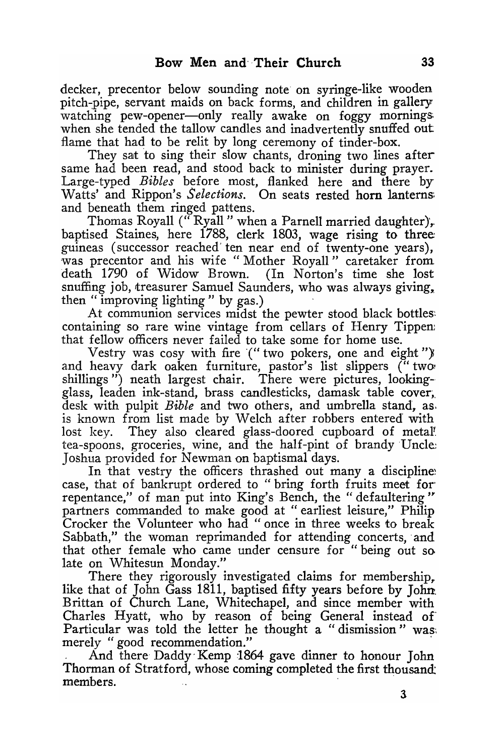decker, precentor below sounding note on syringe-like wooden pitch~pipe, servant maids on back forms, and children in gallery watching pew-opener-only really awake on foggy mornings when she tended the tallow candles and inadvertently snuffed out flame that had to be relit by long ceremony of tinder-box.

They sat to sing their slow chants, droning two lines after same had been read, and stood back to minister during prayer. Large-typed *Bibles* before most, flanked here and there by Watts' and Rippon's *Selections.* On seats rested horn lanterns: and beneath them ringed pattens.

Thomas Royall ("Ryall" when a Parnell married daughter), baptised Staines, here 1788, clerk 1803, wage rising to three: guineas (successor reached'ten near end of twenty-one years), was precentor and his wife "Mother Royall" caretaker from death 1790 of Widow Brown. (In Norton's time she lost snuffing job, treasurer Samuel Saunders, who was always giving, then "improving lighting" by gas.)

At communion services midst the pewter stood black bottles: containing so rare wine vintage from cellars of Henry Tippen: that fellow officers never failed to take some for home use.

Vestry was cosy with fire ("two pokers, one and eight") and heavy dark oaken furniture, pastor's list slippers (" two. shillings") neath largest chair. There were pictures, lookingglass, leaden ink-stand, brass candlesticks, damask table cover;. desk with pulpit *Bible* and two others, and umbrella stand, as. is known from list made by Welch after robbers entered with lost key. They also cleared glass-doored cupboard of metal! tea-spoons, groceries, wine, and the half-pint of brandy Uncle: Joshua provided for Newman on baptismal days.<br>In that vestry the officers thrashed out many a discipline:

case, that of bankrupt ordered to "bring forth fruits meet for repentance," of man put into King's Bench, the "defaultering" partners commanded to make good at " earliest leisure," Philip Crocker the Volunteer who had "once in three weeks to break Sabbath," the woman reprimanded for attending concerts, and that other female who came under censure for "being out so late on Whitesun Monday."

There they rigorously investigated claims for membership. like that of John Gass 1811, baptised fifty years before by John. Brittan of Church Lane, Whitechapel, and since member with Charles Hyatt, who by reason of being General instead of Particular was told the letter he thought a "dismission" was: merely " good recommendation."

. And there Daddy' Kemp 1864 gave dinner to honour John Thorman of Stratford, whose coming completed the first thousand: members.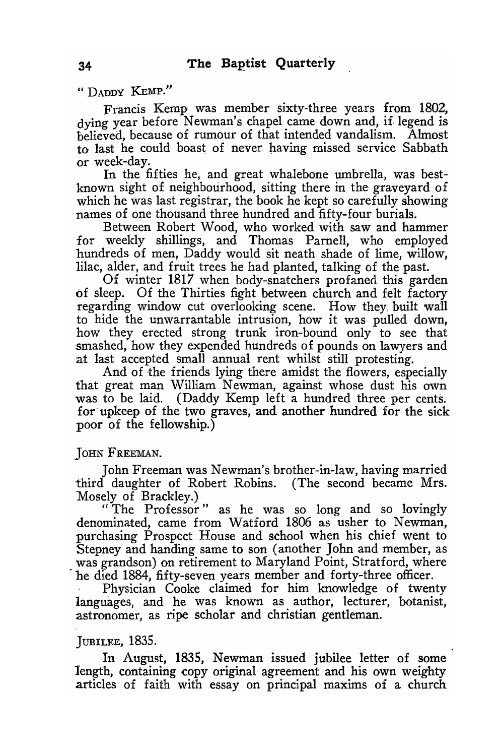"DADDY KEMP."

Francis Kemp was member sixty-three years from 1802, dying year before Newman's chapel came down and, if legend is believed, because of rumour of that intended vandalism. Almost to last he could boast of never having missed service Sabbath or week-day.

In the fifties he, and great whalebone umbrella, was bestknown sight of neighbourhood, sitting there in the graveyard of which he was last registrar, the book he kept so carefully showing names of one thousand three hundred and fifty-four burials.

Between Robert Wood, who worked with saw and hammer for weekly shillings, and Thomas Parnell, who employed hundreds of men, Daddy would sit neath shade of lime, willow, lilac, alder, and fruit trees he had planted, talking of the past.

Of winter 1817 when body-snatchers profaned this garden Of sleep. Of the Thirties fight between church and felt factory regarding window cut overlooking scene. How they built wall to hide the unwarrantable intrusion, how it was pulled down, how they erected strong trunk iron~bound only to see that smashed, how they expended hundreds of pounds on lawyers and at last accepted small annual rent whilst still protesting.

And of the friends lying there amidst the flowers, especially that great man William Newman, against whose dust his own was to be laid. (Daddy Kemp left a hundred three per cents. for upkeep of the two graves, and another hundred for the sick poor of the fellowship.)

JOHN FREEMAN.

John Freeman was Newman's brother-in-law, having married third daughter of Robert Robins. (The second became Mrs. Mosely of Brackley.)

"The Professor" as he was so long and so lovingly denominated, came from Watford 1806 as usher to Newman, purchasing Prospect House and school when his chief went to Stepney and handing same to son (another John and member, as was grandson) on retirement to Maryland Point, Stratford, where he died 1884, fifty-seven years member and forty-three officer.

Physician Cooke claimed for him knowledge of twenty languages, and he was known as author, lecturer, botanist, astronomer, as ripe scholar and christian gentleman.

# JUBILEE, 1835.

In August, 1835, Newman issued jubilee letter of some length, containing copy original agreement and his own weighty articles of faith with essay on principal maxims of a church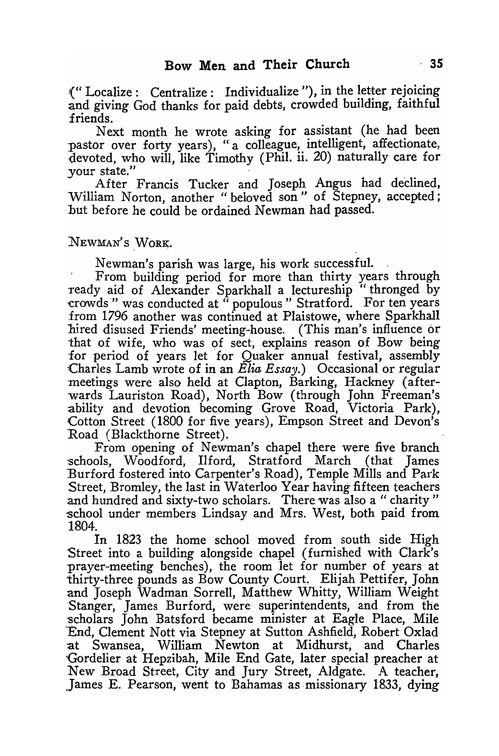(" Localize: Centralize: Individualize "), in the letter rejoicing and giving God thanks for paid debts, crowded building, faithful friends.

Next month he wrote asking for assistant (he had been pastor over forty years), "a colleague, intelligent, affectionate, devoted, who will, like Timothy (Phil. ii. 20) naturally care for your state." .

your state."<br>After Francis Tucker and Joseph Angus had declined, William Norton, another "beloved son" of Stepney, accepted; but before he could be ordained Newman had passed.

### NEWMAN's WORK.

Newman's parish was large, his work successful.

From building period for more than thirty years through ready aid of Alexander Sparkhall a lectureship "thronged by -crowds" was conducted at " populous" Stratford. For ten years from 1796 another was continued at Plaistowe, where Sparkhall bired disused Friends' meeting-house. (This man's influence or that of wife, who was of sect, explains reason of Bow being for period of years let for Quaker annual festival, assembly Charles Lamb wrote of in an *Elia Essay.)* Occasional or regular 'meetings were also held at Clapton, Barking, Hackney (afterwards Lauriston Road), North Bow (through John Freeman's ability and devotion becoming Grove Road, Victoria Park), Cotton Street (1800 for five years), Empson Street and Devon's Road (Blackthorne Street).

From opening of Newrnan's chapel there were five branch schools, Woodford, Ilford, Stratford March (that James Burford fostered into Carpenter's Road), Temple Mills and Park Street, Bromley, the last in Waterloo Year having fifteen teachers and hundred and sixty-two scholars. There was also a " charity" school under members Lindsay and Mrs. West, both paid from 1804.

In 1823 the home school moved from south side High Street into a building alongside chapel (furnished with Clark's prayer-meeting benches), the room let for number of years at thirty-three pounds as Bow County Court. Elijah Pettifer, John and Joseph Wadman Sorrell, Matthew Whitty, William Weight Stanger, James Burford, were superintendents, and from the scholars John Batsford became minister at Eagle Place, Mile End, Clement Nott via Stepney at Sutton Ashfield, Robert Oxlad at Swansea, WiIliam Newton at Midhurst, and Charles 'Gordelier at Hepzibah, Mile End Gate, later special preacher at New Broad Street, City and Jury Street, Aldgate. A teacher, James E. Pearson, went to Bahamas as missionary 1833, dying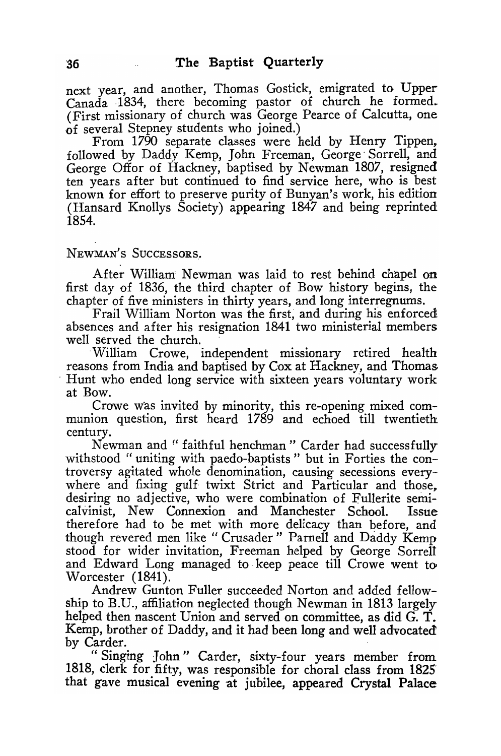next year, and another, Thomas Gostick, emigrated to Upper Canada 1834, there becoming pastor of church he formed. (First missionary of church was George Pearce of Calcutta, one of several Stepney students who joined.)

From 1790 separate classes were held by Henry Tippen. followed by Daddy Kemp, John Freeman, George' Sorrell, and George Offor of Hackney, baptised by Newman 1807, resigned ten years after but continued to find service here, who is best known for effort to preserve purity of Bunyan's work, his edition (Hansard Knollys Society) appearing 1847 and being reprinted 1854.

NEWMAN'S SUCCESSORS.

After William Newman was laid to rest behind chapel on first day of 1836, the third chapter of Bow history begins, the chapter of five ministers in thirty years, and long interregnums.

Frail William Norton was the first, and during his enforced absences and after his resignation 1841 two ministerial members well served the church.

William Crowe, independent missionary retired health reasons from India and baptised by Cox at Hackney, and Thomas . Hunt who ended long service with sixteen years voluntary work at Bow.

Crowe was invited by minority, this re-opening mixed communion question, first heard 1789 and echoed till twentieth century.

Newman and " faithful henchman" Carder had successfully withstood "uniting with paedo-baptists" but in Forties the controversy agitated whole denomination, causing secessions everywhere and fixing gulf twixt Strict and Particular and those, desiring no adjective, who were combination of Fullerite semicalvinist, New Connexion and Manchester School. Issue therefore had to be met with more delicacy than before, and though revered men like " Crusader" Parnell and Daddy Kemp stood for wider invitation, Freeman helped by George Sorrell and Edward Long managed to keep peace till Crowe went to Worcester (1841).

Andrew Gunton Fuller succeeded Norton and added fellowship to B.U., affiliation neglected though Newman in 1813 largely helped then nascent Union and served on committee, as did G. **T.**  Kemp, brother of Daddy, and it had been long and well advocated by Carder.

"Singing John" Carder, sixty-four years member from 1818, clerk for fifty, was responsible for choral class from 1825' that gave musical evening at jubilee, appeared Crystal Palace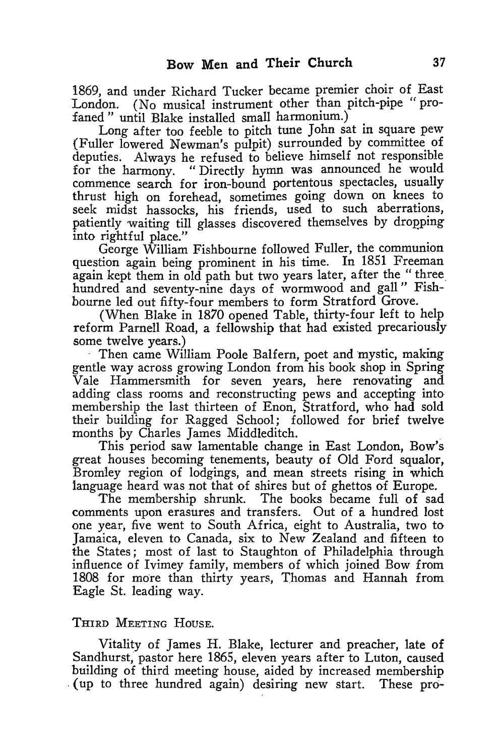1869, and under Richard Tucker became premier choir of East London. (No musical instrument other than pitch-pipe "profaned" until Blake installed small harmonium.)

Long after too feeble to pitch tune John sat in square pew (Fuller lowered Newman's pulpit) surrounded by committee of deputies. Always he refused to believe himself not responsible for the harmony. "Directly hymn was announced he would commence search for iron-bound portentous spectacles, usually thrust high on forehead, sometimes going down on knees to seek midst hassocks, his friends, used to such aberrations, patiently waiting till glasses discovered themselves by dropping

into rightful place." .<br>George William Fishbourne followed Fuller, the communion question again being prominent in his time. In 1851 Freeman again kept them in old path but two years later, after the " three hundred and seventy-nine days of wormwood and gall" Fishbourne led out fifty-four members to form Stratford Grove.

(When Blake in 1870 opened Table, thirty-four left to help reform Parnell Road, a fellowship that had existed precariously some twelve years.)

Then came William PooIe Balfern, poet and mystic, making gentle way across growing London from his book shop in Spring Vale Hammersmith for seven years, here renovating and adding class rooms and reconstructing pews and accepting into membership the last thirteen of Enon, Stratford, who had sold their building for Ragged School; followed for brief twelve months by Charles James Middleditch.<br>This period saw lamentable change in East London, Bow's

great houses becoming tenements, beauty of Old Ford squalor, Bromley region of lodgings, and mean streets rising in which language heard was not that of shires but of ghettos of Europe.

The membership shrunk. The books became full of sad comments upon erasures and transfers. Out of a hundred lost one year, five went to South Africa, eight to Australia, two to Jamaica, eleven to Canada, six to New Zealand and fifteen to the States; most of last to Staughton of Philadelphia through influence of Ivimey family, members of which joined Bow from 1808 for more than thirty years, Thomas and Hannah from Eagle St. leading way.

THIRD MEETING HOUSE.

Vitality of James H. Blake, lecturer and preacher, late of Sandhurst, pastor here 1865, eleven years after to Luton, caused building of third meeting house, aided by increased membership . (up to three hundred again) desiring new start. These pro